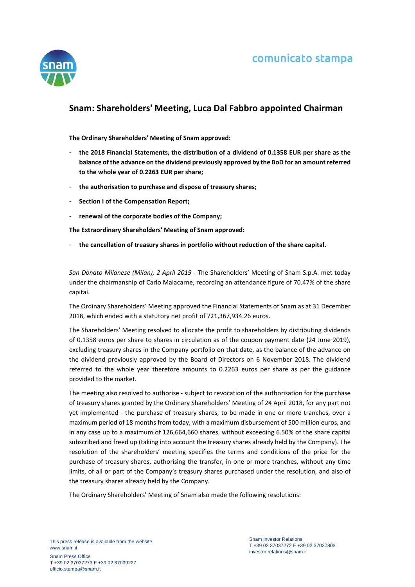



## **Snam: Shareholders' Meeting, Luca Dal Fabbro appointed Chairman**

**The Ordinary Shareholders' Meeting of Snam approved:**

- **the 2018 Financial Statements, the distribution of a dividend of 0.1358 EUR per share as the balance of the advance on the dividend previously approved by the BoD for an amount referred to the whole year of 0.2263 EUR per share;**
- **the authorisation to purchase and dispose of treasury shares;**
- **Section I of the Compensation Report;**
- **renewal of the corporate bodies of the Company;**

**The Extraordinary Shareholders' Meeting of Snam approved:**

- **the cancellation of treasury shares in portfolio without reduction of the share capital.**

*San Donato Milanese (Milan), 2 April 2019* - The Shareholders' Meeting of Snam S.p.A. met today under the chairmanship of Carlo Malacarne, recording an attendance figure of 70.47% of the share capital.

The Ordinary Shareholders' Meeting approved the Financial Statements of Snam as at 31 December 2018, which ended with a statutory net profit of 721,367,934.26 euros.

The Shareholders' Meeting resolved to allocate the profit to shareholders by distributing dividends of 0.1358 euros per share to shares in circulation as of the coupon payment date (24 June 2019), excluding treasury shares in the Company portfolio on that date, as the balance of the advance on the dividend previously approved by the Board of Directors on 6 November 2018. The dividend referred to the whole year therefore amounts to 0.2263 euros per share as per the guidance provided to the market.

The meeting also resolved to authorise - subject to revocation of the authorisation for the purchase of treasury shares granted by the Ordinary Shareholders' Meeting of 24 April 2018, for any part not yet implemented - the purchase of treasury shares, to be made in one or more tranches, over a maximum period of 18 months from today, with a maximum disbursement of 500 million euros, and in any case up to a maximum of 126,664,660 shares, without exceeding 6.50% of the share capital subscribed and freed up (taking into account the treasury shares already held by the Company). The resolution of the shareholders' meeting specifies the terms and conditions of the price for the purchase of treasury shares, authorising the transfer, in one or more tranches, without any time limits, of all or part of the Company's treasury shares purchased under the resolution, and also of the treasury shares already held by the Company.

The Ordinary Shareholders' Meeting of Snam also made the following resolutions: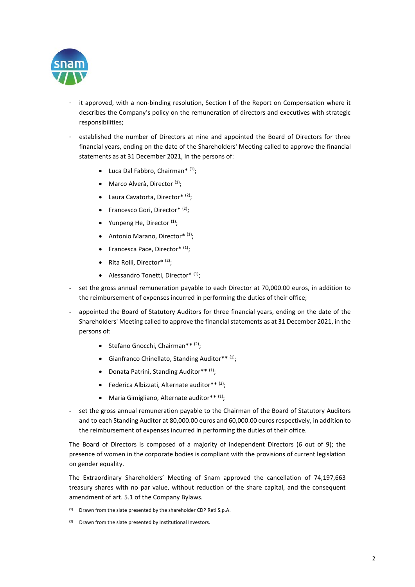

- it approved, with a non-binding resolution, Section I of the Report on Compensation where it describes the Company's policy on the remuneration of directors and executives with strategic responsibilities;
- established the number of Directors at nine and appointed the Board of Directors for three financial years, ending on the date of the Shareholders' Meeting called to approve the financial statements as at 31 December 2021, in the persons of:
	- Luca Dal Fabbro, Chairman\*  $(1)$ ;
	- Marco Alverà, Director<sup>(1)</sup>;
	- Laura Cavatorta, Director $*$ <sup>(2)</sup>;
	- Francesco Gori, Director\* $(2)$ ;
	- Yunpeng He, Director  $(1)$ :
	- Antonio Marano, Director\* $(1)$ ;
	- Francesca Pace, Director\* (1);
	- Rita Rolli, Director\*  $(2)$ ;
	- Alessandro Tonetti, Director $*$ <sup>(1)</sup>;
- set the gross annual remuneration payable to each Director at 70,000,00 euros, in addition to the reimbursement of expenses incurred in performing the duties of their office;
- appointed the Board of Statutory Auditors for three financial years, ending on the date of the Shareholders' Meeting called to approve the financial statements as at 31 December 2021, in the persons of:
	- Stefano Gnocchi, Chairman\*\* (2);
	- Gianfranco Chinellato, Standing Auditor\*\* (1);
	- Donata Patrini, Standing Auditor\*\* (1);
	- Federica Albizzati, Alternate auditor \*\*  $(2)$ ;
	- Maria Gimigliano, Alternate auditor\*\* (1);
- set the gross annual remuneration payable to the Chairman of the Board of Statutory Auditors and to each Standing Auditor at 80,000.00 euros and 60,000.00 euros respectively, in addition to the reimbursement of expenses incurred in performing the duties of their office.

The Board of Directors is composed of a majority of independent Directors (6 out of 9); the presence of women in the corporate bodies is compliant with the provisions of current legislation on gender equality.

The Extraordinary Shareholders' Meeting of Snam approved the cancellation of 74,197,663 treasury shares with no par value, without reduction of the share capital, and the consequent amendment of art. 5.1 of the Company Bylaws.

- $(1)$  Drawn from the slate presented by the shareholder CDP Reti S.p.A.
- $(2)$  Drawn from the slate presented by Institutional Investors.